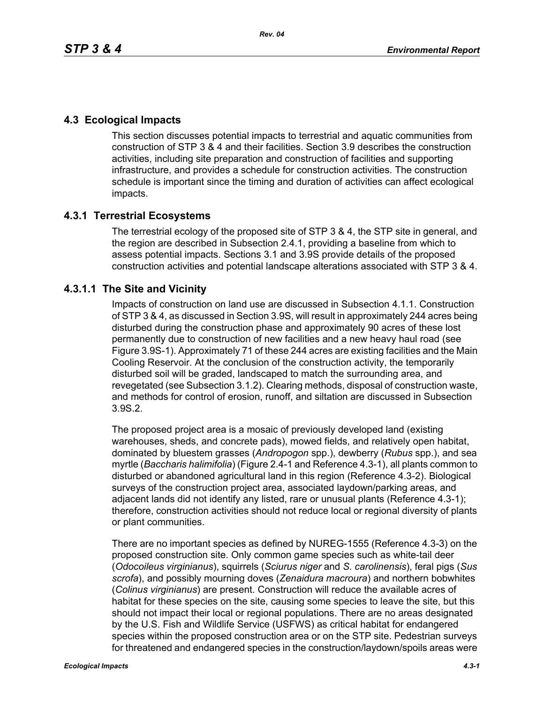# **4.3 Ecological Impacts**

This section discusses potential impacts to terrestrial and aquatic communities from construction of STP 3 & 4 and their facilities. Section 3.9 describes the construction activities, including site preparation and construction of facilities and supporting infrastructure, and provides a schedule for construction activities. The construction schedule is important since the timing and duration of activities can affect ecological impacts.

# **4.3.1 Terrestrial Ecosystems**

The terrestrial ecology of the proposed site of STP 3 & 4, the STP site in general, and the region are described in Subsection 2.4.1, providing a baseline from which to assess potential impacts. Sections 3.1 and 3.9S provide details of the proposed construction activities and potential landscape alterations associated with STP 3 & 4.

# **4.3.1.1 The Site and Vicinity**

Impacts of construction on land use are discussed in Subsection 4.1.1. Construction of STP 3 & 4, as discussed in Section 3.9S, will result in approximately 244 acres being disturbed during the construction phase and approximately 90 acres of these lost permanently due to construction of new facilities and a new heavy haul road (see Figure 3.9S-1). Approximately 71 of these 244 acres are existing facilities and the Main Cooling Reservoir. At the conclusion of the construction activity, the temporarily disturbed soil will be graded, landscaped to match the surrounding area, and revegetated (see Subsection 3.1.2). Clearing methods, disposal of construction waste, and methods for control of erosion, runoff, and siltation are discussed in Subsection 3.9S.2.

The proposed project area is a mosaic of previously developed land (existing warehouses, sheds, and concrete pads), mowed fields, and relatively open habitat, dominated by bluestem grasses (*Andropogon* spp.), dewberry (*Rubus* spp.), and sea myrtle (*Baccharis halimifolia*) (Figure 2.4-1 and Reference 4.3-1), all plants common to disturbed or abandoned agricultural land in this region (Reference 4.3-2). Biological surveys of the construction project area, associated laydown/parking areas, and adjacent lands did not identify any listed, rare or unusual plants (Reference 4.3-1); therefore, construction activities should not reduce local or regional diversity of plants or plant communities.

There are no important species as defined by NUREG-1555 (Reference 4.3-3) on the proposed construction site. Only common game species such as white-tail deer (*Odocoileus virginianus*), squirrels (*Sciurus niger* and *S. carolinensis*), feral pigs (*Sus scrofa*), and possibly mourning doves (*Zenaidura macroura*) and northern bobwhites (*Colinus virginianus*) are present. Construction will reduce the available acres of habitat for these species on the site, causing some species to leave the site, but this should not impact their local or regional populations. There are no areas designated by the U.S. Fish and Wildlife Service (USFWS) as critical habitat for endangered species within the proposed construction area or on the STP site. Pedestrian surveys for threatened and endangered species in the construction/laydown/spoils areas were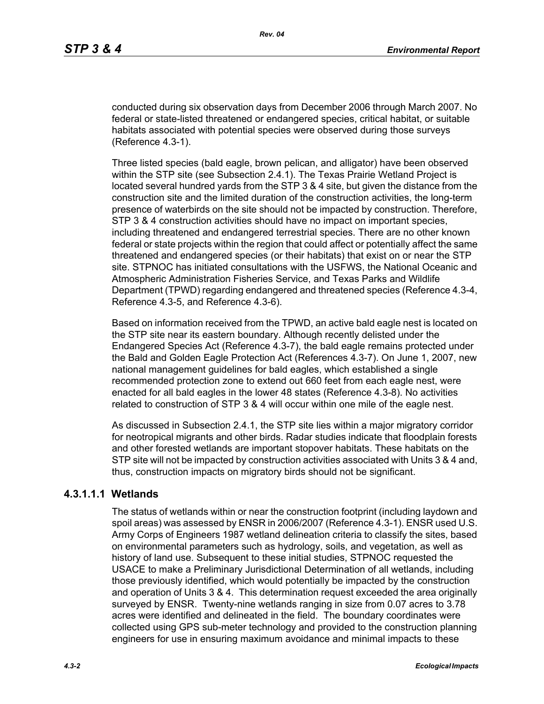conducted during six observation days from December 2006 through March 2007. No federal or state-listed threatened or endangered species, critical habitat, or suitable habitats associated with potential species were observed during those surveys (Reference 4.3-1).

Three listed species (bald eagle, brown pelican, and alligator) have been observed within the STP site (see Subsection 2.4.1). The Texas Prairie Wetland Project is located several hundred yards from the STP 3 & 4 site, but given the distance from the construction site and the limited duration of the construction activities, the long-term presence of waterbirds on the site should not be impacted by construction. Therefore, STP 3 & 4 construction activities should have no impact on important species, including threatened and endangered terrestrial species. There are no other known federal or state projects within the region that could affect or potentially affect the same threatened and endangered species (or their habitats) that exist on or near the STP site. STPNOC has initiated consultations with the USFWS, the National Oceanic and Atmospheric Administration Fisheries Service, and Texas Parks and Wildlife Department (TPWD) regarding endangered and threatened species (Reference 4.3-4, Reference 4.3-5, and Reference 4.3-6).

Based on information received from the TPWD, an active bald eagle nest is located on the STP site near its eastern boundary. Although recently delisted under the Endangered Species Act (Reference 4.3-7), the bald eagle remains protected under the Bald and Golden Eagle Protection Act (References 4.3-7). On June 1, 2007, new national management guidelines for bald eagles, which established a single recommended protection zone to extend out 660 feet from each eagle nest, were enacted for all bald eagles in the lower 48 states (Reference 4.3-8). No activities related to construction of STP 3 & 4 will occur within one mile of the eagle nest.

As discussed in Subsection 2.4.1, the STP site lies within a major migratory corridor for neotropical migrants and other birds. Radar studies indicate that floodplain forests and other forested wetlands are important stopover habitats. These habitats on the STP site will not be impacted by construction activities associated with Units 3 & 4 and, thus, construction impacts on migratory birds should not be significant.

### **4.3.1.1.1 Wetlands**

The status of wetlands within or near the construction footprint (including laydown and spoil areas) was assessed by ENSR in 2006/2007 (Reference 4.3-1). ENSR used U.S. Army Corps of Engineers 1987 wetland delineation criteria to classify the sites, based on environmental parameters such as hydrology, soils, and vegetation, as well as history of land use. Subsequent to these initial studies, STPNOC requested the USACE to make a Preliminary Jurisdictional Determination of all wetlands, including those previously identified, which would potentially be impacted by the construction and operation of Units 3 & 4. This determination request exceeded the area originally surveyed by ENSR. Twenty-nine wetlands ranging in size from 0.07 acres to 3.78 acres were identified and delineated in the field. The boundary coordinates were collected using GPS sub-meter technology and provided to the construction planning engineers for use in ensuring maximum avoidance and minimal impacts to these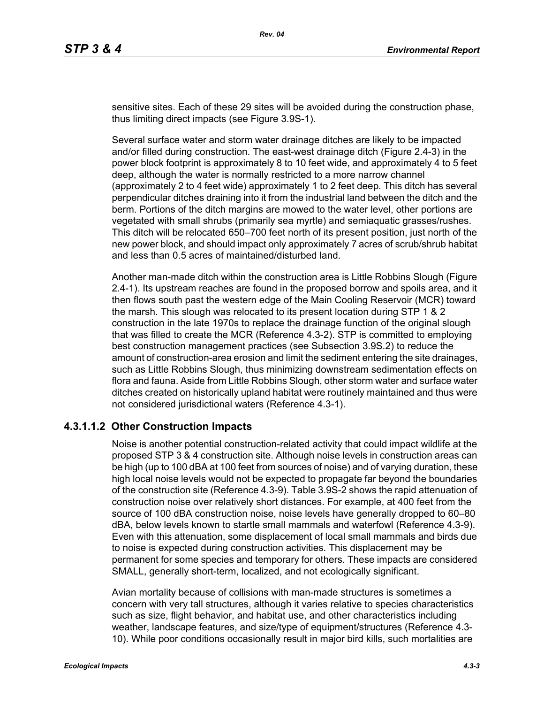sensitive sites. Each of these 29 sites will be avoided during the construction phase, thus limiting direct impacts (see Figure 3.9S-1).

Several surface water and storm water drainage ditches are likely to be impacted and/or filled during construction. The east-west drainage ditch (Figure 2.4-3) in the power block footprint is approximately 8 to 10 feet wide, and approximately 4 to 5 feet deep, although the water is normally restricted to a more narrow channel (approximately 2 to 4 feet wide) approximately 1 to 2 feet deep. This ditch has several perpendicular ditches draining into it from the industrial land between the ditch and the berm. Portions of the ditch margins are mowed to the water level, other portions are vegetated with small shrubs (primarily sea myrtle) and semiaquatic grasses/rushes. This ditch will be relocated 650–700 feet north of its present position, just north of the new power block, and should impact only approximately 7 acres of scrub/shrub habitat and less than 0.5 acres of maintained/disturbed land.

Another man-made ditch within the construction area is Little Robbins Slough (Figure 2.4-1). Its upstream reaches are found in the proposed borrow and spoils area, and it then flows south past the western edge of the Main Cooling Reservoir (MCR) toward the marsh. This slough was relocated to its present location during STP 1 & 2 construction in the late 1970s to replace the drainage function of the original slough that was filled to create the MCR (Reference 4.3-2). STP is committed to employing best construction management practices (see Subsection 3.9S.2) to reduce the amount of construction-area erosion and limit the sediment entering the site drainages, such as Little Robbins Slough, thus minimizing downstream sedimentation effects on flora and fauna. Aside from Little Robbins Slough, other storm water and surface water ditches created on historically upland habitat were routinely maintained and thus were not considered jurisdictional waters (Reference 4.3-1).

#### **4.3.1.1.2 Other Construction Impacts**

Noise is another potential construction-related activity that could impact wildlife at the proposed STP 3 & 4 construction site. Although noise levels in construction areas can be high (up to 100 dBA at 100 feet from sources of noise) and of varying duration, these high local noise levels would not be expected to propagate far beyond the boundaries of the construction site (Reference 4.3-9). Table 3.9S-2 shows the rapid attenuation of construction noise over relatively short distances. For example, at 400 feet from the source of 100 dBA construction noise, noise levels have generally dropped to 60–80 dBA, below levels known to startle small mammals and waterfowl (Reference 4.3-9). Even with this attenuation, some displacement of local small mammals and birds due to noise is expected during construction activities. This displacement may be permanent for some species and temporary for others. These impacts are considered SMALL, generally short-term, localized, and not ecologically significant.

Avian mortality because of collisions with man-made structures is sometimes a concern with very tall structures, although it varies relative to species characteristics such as size, flight behavior, and habitat use, and other characteristics including weather, landscape features, and size/type of equipment/structures (Reference 4.3- 10). While poor conditions occasionally result in major bird kills, such mortalities are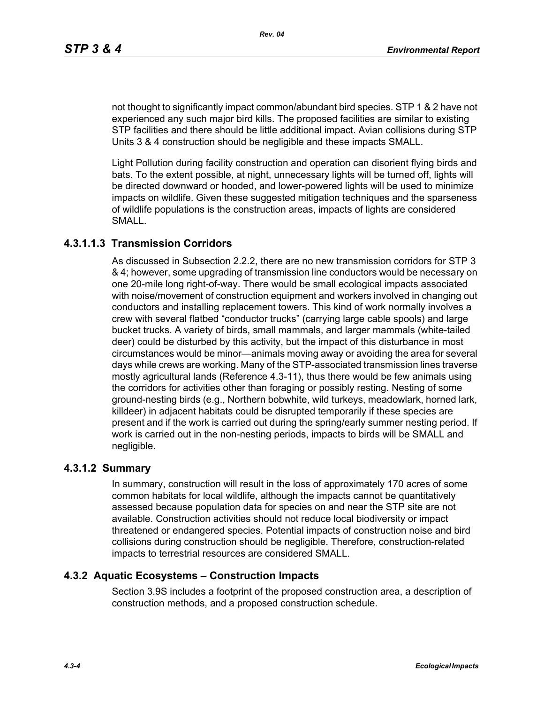not thought to significantly impact common/abundant bird species. STP 1 & 2 have not experienced any such major bird kills. The proposed facilities are similar to existing STP facilities and there should be little additional impact. Avian collisions during STP Units 3 & 4 construction should be negligible and these impacts SMALL.

Light Pollution during facility construction and operation can disorient flying birds and bats. To the extent possible, at night, unnecessary lights will be turned off, lights will be directed downward or hooded, and lower-powered lights will be used to minimize impacts on wildlife. Given these suggested mitigation techniques and the sparseness of wildlife populations is the construction areas, impacts of lights are considered SMALL.

### **4.3.1.1.3 Transmission Corridors**

As discussed in Subsection 2.2.2, there are no new transmission corridors for STP 3 & 4; however, some upgrading of transmission line conductors would be necessary on one 20-mile long right-of-way. There would be small ecological impacts associated with noise/movement of construction equipment and workers involved in changing out conductors and installing replacement towers. This kind of work normally involves a crew with several flatbed "conductor trucks" (carrying large cable spools) and large bucket trucks. A variety of birds, small mammals, and larger mammals (white-tailed deer) could be disturbed by this activity, but the impact of this disturbance in most circumstances would be minor—animals moving away or avoiding the area for several days while crews are working. Many of the STP-associated transmission lines traverse mostly agricultural lands (Reference 4.3-11), thus there would be few animals using the corridors for activities other than foraging or possibly resting. Nesting of some ground-nesting birds (e.g., Northern bobwhite, wild turkeys, meadowlark, horned lark, killdeer) in adjacent habitats could be disrupted temporarily if these species are present and if the work is carried out during the spring/early summer nesting period. If work is carried out in the non-nesting periods, impacts to birds will be SMALL and negligible.

#### **4.3.1.2 Summary**

In summary, construction will result in the loss of approximately 170 acres of some common habitats for local wildlife, although the impacts cannot be quantitatively assessed because population data for species on and near the STP site are not available. Construction activities should not reduce local biodiversity or impact threatened or endangered species. Potential impacts of construction noise and bird collisions during construction should be negligible. Therefore, construction-related impacts to terrestrial resources are considered SMALL.

#### **4.3.2 Aquatic Ecosystems – Construction Impacts**

Section 3.9S includes a footprint of the proposed construction area, a description of construction methods, and a proposed construction schedule.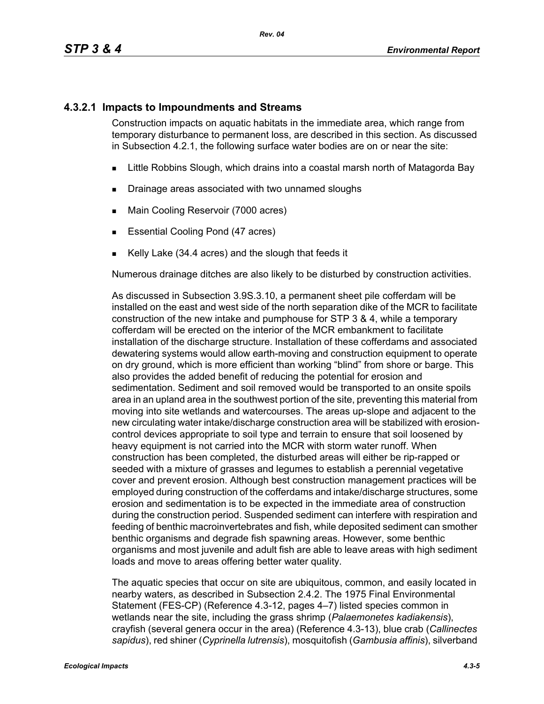### **4.3.2.1 Impacts to Impoundments and Streams**

Construction impacts on aquatic habitats in the immediate area, which range from temporary disturbance to permanent loss, are described in this section. As discussed in Subsection 4.2.1, the following surface water bodies are on or near the site:

- **EXALLET A** Little Robbins Slough, which drains into a coastal marsh north of Matagorda Bay
- **Drainage areas associated with two unnamed sloughs**
- **Main Cooling Reservoir (7000 acres)**
- **Essential Cooling Pond (47 acres)**
- Kelly Lake (34.4 acres) and the slough that feeds it

Numerous drainage ditches are also likely to be disturbed by construction activities.

As discussed in Subsection 3.9S.3.10, a permanent sheet pile cofferdam will be installed on the east and west side of the north separation dike of the MCR to facilitate construction of the new intake and pumphouse for STP 3 & 4, while a temporary cofferdam will be erected on the interior of the MCR embankment to facilitate installation of the discharge structure. Installation of these cofferdams and associated dewatering systems would allow earth-moving and construction equipment to operate on dry ground, which is more efficient than working "blind" from shore or barge. This also provides the added benefit of reducing the potential for erosion and sedimentation. Sediment and soil removed would be transported to an onsite spoils area in an upland area in the southwest portion of the site, preventing this material from moving into site wetlands and watercourses. The areas up-slope and adjacent to the new circulating water intake/discharge construction area will be stabilized with erosioncontrol devices appropriate to soil type and terrain to ensure that soil loosened by heavy equipment is not carried into the MCR with storm water runoff. When construction has been completed, the disturbed areas will either be rip-rapped or seeded with a mixture of grasses and legumes to establish a perennial vegetative cover and prevent erosion. Although best construction management practices will be employed during construction of the cofferdams and intake/discharge structures, some erosion and sedimentation is to be expected in the immediate area of construction during the construction period. Suspended sediment can interfere with respiration and feeding of benthic macroinvertebrates and fish, while deposited sediment can smother benthic organisms and degrade fish spawning areas. However, some benthic organisms and most juvenile and adult fish are able to leave areas with high sediment loads and move to areas offering better water quality.

The aquatic species that occur on site are ubiquitous, common, and easily located in nearby waters, as described in Subsection 2.4.2. The 1975 Final Environmental Statement (FES-CP) (Reference 4.3-12, pages 4–7) listed species common in wetlands near the site, including the grass shrimp (*Palaemonetes kadiakensis*), crayfish (several genera occur in the area) (Reference 4.3-13), blue crab (*Callinectes sapidus*), red shiner (*Cyprinella lutrensis*), mosquitofish (*Gambusia affinis*), silverband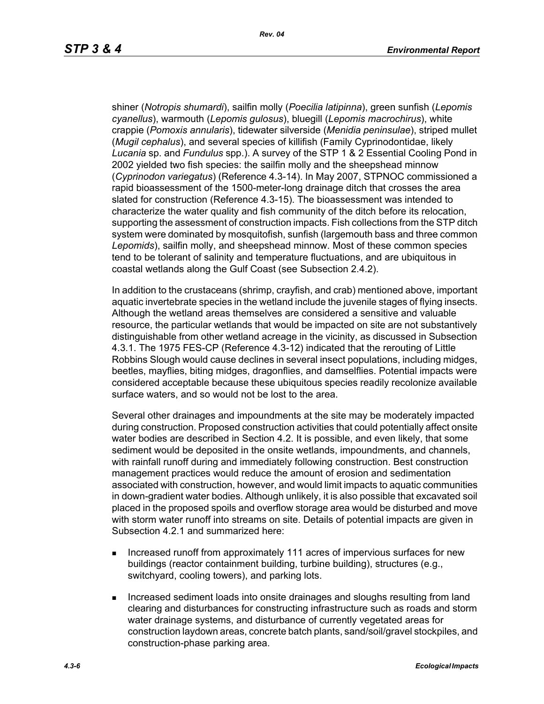shiner (*Notropis shumardi*), sailfin molly (*Poecilia latipinna*), green sunfish (*Lepomis cyanellus*), warmouth (*Lepomis gulosus*), bluegill (*Lepomis macrochirus*), white crappie (*Pomoxis annularis*), tidewater silverside (*Menidia peninsulae*), striped mullet (*Mugil cephalus*), and several species of killifish (Family Cyprinodontidae, likely *Lucania* sp. and *Fundulus* spp.). A survey of the STP 1 & 2 Essential Cooling Pond in 2002 yielded two fish species: the sailfin molly and the sheepshead minnow (*Cyprinodon variegatus*) (Reference 4.3-14). In May 2007, STPNOC commissioned a rapid bioassessment of the 1500-meter-long drainage ditch that crosses the area slated for construction (Reference 4.3-15). The bioassessment was intended to characterize the water quality and fish community of the ditch before its relocation, supporting the assessment of construction impacts. Fish collections from the STP ditch system were dominated by mosquitofish, sunfish (largemouth bass and three common *Lepomids*), sailfin molly, and sheepshead minnow. Most of these common species tend to be tolerant of salinity and temperature fluctuations, and are ubiquitous in coastal wetlands along the Gulf Coast (see Subsection 2.4.2).

In addition to the crustaceans (shrimp, crayfish, and crab) mentioned above, important aquatic invertebrate species in the wetland include the juvenile stages of flying insects. Although the wetland areas themselves are considered a sensitive and valuable resource, the particular wetlands that would be impacted on site are not substantively distinguishable from other wetland acreage in the vicinity, as discussed in Subsection 4.3.1. The 1975 FES-CP (Reference 4.3-12) indicated that the rerouting of Little Robbins Slough would cause declines in several insect populations, including midges, beetles, mayflies, biting midges, dragonflies, and damselflies. Potential impacts were considered acceptable because these ubiquitous species readily recolonize available surface waters, and so would not be lost to the area.

Several other drainages and impoundments at the site may be moderately impacted during construction. Proposed construction activities that could potentially affect onsite water bodies are described in Section 4.2. It is possible, and even likely, that some sediment would be deposited in the onsite wetlands, impoundments, and channels, with rainfall runoff during and immediately following construction. Best construction management practices would reduce the amount of erosion and sedimentation associated with construction, however, and would limit impacts to aquatic communities in down-gradient water bodies. Although unlikely, it is also possible that excavated soil placed in the proposed spoils and overflow storage area would be disturbed and move with storm water runoff into streams on site. Details of potential impacts are given in Subsection 4.2.1 and summarized here:

- **Increased runoff from approximately 111 acres of impervious surfaces for new** buildings (reactor containment building, turbine building), structures (e.g., switchyard, cooling towers), and parking lots.
- **Increased sediment loads into onsite drainages and sloughs resulting from land** clearing and disturbances for constructing infrastructure such as roads and storm water drainage systems, and disturbance of currently vegetated areas for construction laydown areas, concrete batch plants, sand/soil/gravel stockpiles, and construction-phase parking area.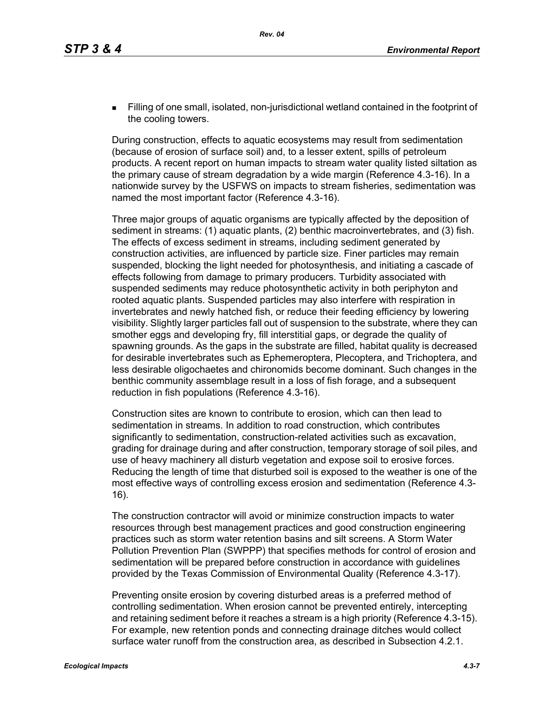Filling of one small, isolated, non-jurisdictional wetland contained in the footprint of the cooling towers.

During construction, effects to aquatic ecosystems may result from sedimentation (because of erosion of surface soil) and, to a lesser extent, spills of petroleum products. A recent report on human impacts to stream water quality listed siltation as the primary cause of stream degradation by a wide margin (Reference 4.3-16). In a nationwide survey by the USFWS on impacts to stream fisheries, sedimentation was named the most important factor (Reference 4.3-16).

Three major groups of aquatic organisms are typically affected by the deposition of sediment in streams: (1) aquatic plants, (2) benthic macroinvertebrates, and (3) fish. The effects of excess sediment in streams, including sediment generated by construction activities, are influenced by particle size. Finer particles may remain suspended, blocking the light needed for photosynthesis, and initiating a cascade of effects following from damage to primary producers. Turbidity associated with suspended sediments may reduce photosynthetic activity in both periphyton and rooted aquatic plants. Suspended particles may also interfere with respiration in invertebrates and newly hatched fish, or reduce their feeding efficiency by lowering visibility. Slightly larger particles fall out of suspension to the substrate, where they can smother eggs and developing fry, fill interstitial gaps, or degrade the quality of spawning grounds. As the gaps in the substrate are filled, habitat quality is decreased for desirable invertebrates such as Ephemeroptera, Plecoptera, and Trichoptera, and less desirable oligochaetes and chironomids become dominant. Such changes in the benthic community assemblage result in a loss of fish forage, and a subsequent reduction in fish populations (Reference 4.3-16).

Construction sites are known to contribute to erosion, which can then lead to sedimentation in streams. In addition to road construction, which contributes significantly to sedimentation, construction-related activities such as excavation, grading for drainage during and after construction, temporary storage of soil piles, and use of heavy machinery all disturb vegetation and expose soil to erosive forces. Reducing the length of time that disturbed soil is exposed to the weather is one of the most effective ways of controlling excess erosion and sedimentation (Reference 4.3- 16).

The construction contractor will avoid or minimize construction impacts to water resources through best management practices and good construction engineering practices such as storm water retention basins and silt screens. A Storm Water Pollution Prevention Plan (SWPPP) that specifies methods for control of erosion and sedimentation will be prepared before construction in accordance with guidelines provided by the Texas Commission of Environmental Quality (Reference 4.3-17).

Preventing onsite erosion by covering disturbed areas is a preferred method of controlling sedimentation. When erosion cannot be prevented entirely, intercepting and retaining sediment before it reaches a stream is a high priority (Reference 4.3-15). For example, new retention ponds and connecting drainage ditches would collect surface water runoff from the construction area, as described in Subsection 4.2.1.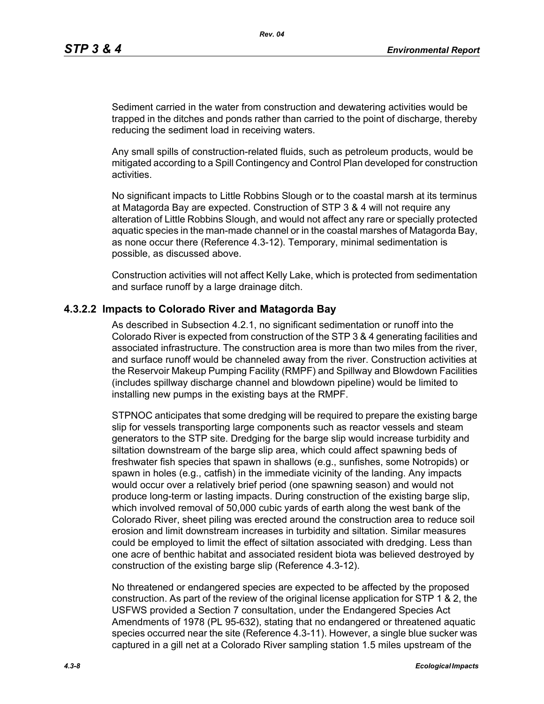Sediment carried in the water from construction and dewatering activities would be trapped in the ditches and ponds rather than carried to the point of discharge, thereby reducing the sediment load in receiving waters.

Any small spills of construction-related fluids, such as petroleum products, would be mitigated according to a Spill Contingency and Control Plan developed for construction activities.

No significant impacts to Little Robbins Slough or to the coastal marsh at its terminus at Matagorda Bay are expected. Construction of STP 3 & 4 will not require any alteration of Little Robbins Slough, and would not affect any rare or specially protected aquatic species in the man-made channel or in the coastal marshes of Matagorda Bay, as none occur there (Reference 4.3-12). Temporary, minimal sedimentation is possible, as discussed above.

Construction activities will not affect Kelly Lake, which is protected from sedimentation and surface runoff by a large drainage ditch.

### **4.3.2.2 Impacts to Colorado River and Matagorda Bay**

As described in Subsection 4.2.1, no significant sedimentation or runoff into the Colorado River is expected from construction of the STP 3 & 4 generating facilities and associated infrastructure. The construction area is more than two miles from the river, and surface runoff would be channeled away from the river. Construction activities at the Reservoir Makeup Pumping Facility (RMPF) and Spillway and Blowdown Facilities (includes spillway discharge channel and blowdown pipeline) would be limited to installing new pumps in the existing bays at the RMPF.

STPNOC anticipates that some dredging will be required to prepare the existing barge slip for vessels transporting large components such as reactor vessels and steam generators to the STP site. Dredging for the barge slip would increase turbidity and siltation downstream of the barge slip area, which could affect spawning beds of freshwater fish species that spawn in shallows (e.g., sunfishes, some Notropids) or spawn in holes (e.g., catfish) in the immediate vicinity of the landing. Any impacts would occur over a relatively brief period (one spawning season) and would not produce long-term or lasting impacts. During construction of the existing barge slip, which involved removal of 50,000 cubic yards of earth along the west bank of the Colorado River, sheet piling was erected around the construction area to reduce soil erosion and limit downstream increases in turbidity and siltation. Similar measures could be employed to limit the effect of siltation associated with dredging. Less than one acre of benthic habitat and associated resident biota was believed destroyed by construction of the existing barge slip (Reference 4.3-12).

No threatened or endangered species are expected to be affected by the proposed construction. As part of the review of the original license application for STP 1 & 2, the USFWS provided a Section 7 consultation, under the Endangered Species Act Amendments of 1978 (PL 95-632), stating that no endangered or threatened aquatic species occurred near the site (Reference 4.3-11). However, a single blue sucker was captured in a gill net at a Colorado River sampling station 1.5 miles upstream of the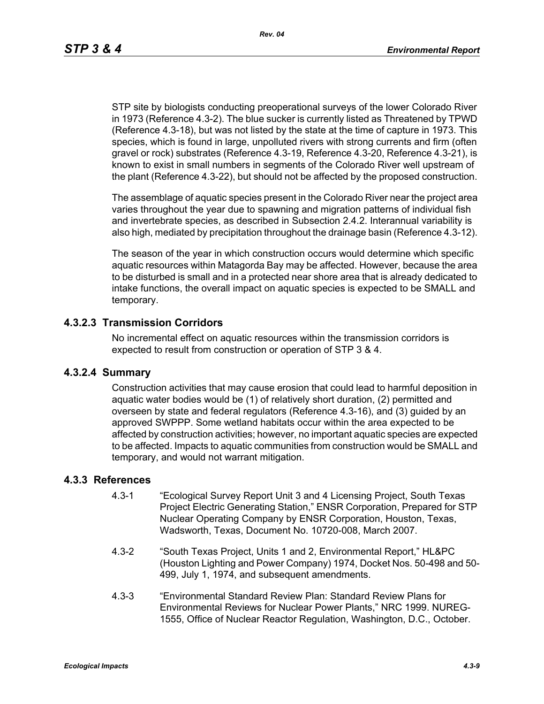STP site by biologists conducting preoperational surveys of the lower Colorado River in 1973 (Reference 4.3-2). The blue sucker is currently listed as Threatened by TPWD (Reference 4.3-18), but was not listed by the state at the time of capture in 1973. This species, which is found in large, unpolluted rivers with strong currents and firm (often gravel or rock) substrates (Reference 4.3-19, Reference 4.3-20, Reference 4.3-21), is known to exist in small numbers in segments of the Colorado River well upstream of the plant (Reference 4.3-22), but should not be affected by the proposed construction.

The assemblage of aquatic species present in the Colorado River near the project area varies throughout the year due to spawning and migration patterns of individual fish and invertebrate species, as described in Subsection 2.4.2. Interannual variability is also high, mediated by precipitation throughout the drainage basin (Reference 4.3-12).

The season of the year in which construction occurs would determine which specific aquatic resources within Matagorda Bay may be affected. However, because the area to be disturbed is small and in a protected near shore area that is already dedicated to intake functions, the overall impact on aquatic species is expected to be SMALL and temporary.

#### **4.3.2.3 Transmission Corridors**

No incremental effect on aquatic resources within the transmission corridors is expected to result from construction or operation of STP 3 & 4.

#### **4.3.2.4 Summary**

Construction activities that may cause erosion that could lead to harmful deposition in aquatic water bodies would be (1) of relatively short duration, (2) permitted and overseen by state and federal regulators (Reference 4.3-16), and (3) guided by an approved SWPPP. Some wetland habitats occur within the area expected to be affected by construction activities; however, no important aquatic species are expected to be affected. Impacts to aquatic communities from construction would be SMALL and temporary, and would not warrant mitigation.

### **4.3.3 References**

- 4.3-1 "Ecological Survey Report Unit 3 and 4 Licensing Project, South Texas Project Electric Generating Station," ENSR Corporation, Prepared for STP Nuclear Operating Company by ENSR Corporation, Houston, Texas, Wadsworth, Texas, Document No. 10720-008, March 2007.
- 4.3-2 "South Texas Project, Units 1 and 2, Environmental Report," HL&PC (Houston Lighting and Power Company) 1974, Docket Nos. 50-498 and 50- 499, July 1, 1974, and subsequent amendments.
- 4.3-3 "Environmental Standard Review Plan: Standard Review Plans for Environmental Reviews for Nuclear Power Plants," NRC 1999. NUREG-1555, Office of Nuclear Reactor Regulation, Washington, D.C., October.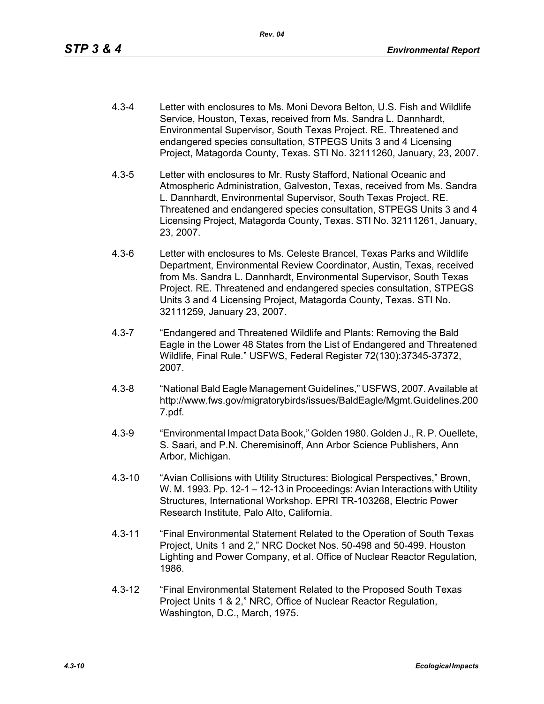- 4.3-4 Letter with enclosures to Ms. Moni Devora Belton, U.S. Fish and Wildlife Service, Houston, Texas, received from Ms. Sandra L. Dannhardt, Environmental Supervisor, South Texas Project. RE. Threatened and endangered species consultation, STPEGS Units 3 and 4 Licensing Project, Matagorda County, Texas. STI No. 32111260, January, 23, 2007.
- 4.3-5 Letter with enclosures to Mr. Rusty Stafford, National Oceanic and Atmospheric Administration, Galveston, Texas, received from Ms. Sandra L. Dannhardt, Environmental Supervisor, South Texas Project. RE. Threatened and endangered species consultation, STPEGS Units 3 and 4 Licensing Project, Matagorda County, Texas. STI No. 32111261, January, 23, 2007.
- 4.3-6 Letter with enclosures to Ms. Celeste Brancel, Texas Parks and Wildlife Department, Environmental Review Coordinator, Austin, Texas, received from Ms. Sandra L. Dannhardt, Environmental Supervisor, South Texas Project. RE. Threatened and endangered species consultation, STPEGS Units 3 and 4 Licensing Project, Matagorda County, Texas. STI No. 32111259, January 23, 2007.
- 4.3-7 "Endangered and Threatened Wildlife and Plants: Removing the Bald Eagle in the Lower 48 States from the List of Endangered and Threatened Wildlife, Final Rule." USFWS, Federal Register 72(130):37345-37372, 2007.
- 4.3-8 "National Bald Eagle Management Guidelines," USFWS, 2007. Available at http://www.fws.gov/migratorybirds/issues/BaldEagle/Mgmt.Guidelines.200 7.pdf.
- 4.3-9 "Environmental Impact Data Book," Golden 1980. Golden J., R. P. Ouellete, S. Saari, and P.N. Cheremisinoff, Ann Arbor Science Publishers, Ann Arbor, Michigan.
- 4.3-10 "Avian Collisions with Utility Structures: Biological Perspectives," Brown, W. M. 1993. Pp. 12-1 – 12-13 in Proceedings: Avian Interactions with Utility Structures, International Workshop. EPRI TR-103268, Electric Power Research Institute, Palo Alto, California.
- 4.3-11 "Final Environmental Statement Related to the Operation of South Texas Project, Units 1 and 2," NRC Docket Nos. 50-498 and 50-499. Houston Lighting and Power Company, et al. Office of Nuclear Reactor Regulation, 1986.
- 4.3-12 "Final Environmental Statement Related to the Proposed South Texas Project Units 1 & 2," NRC, Office of Nuclear Reactor Regulation, Washington, D.C., March, 1975.